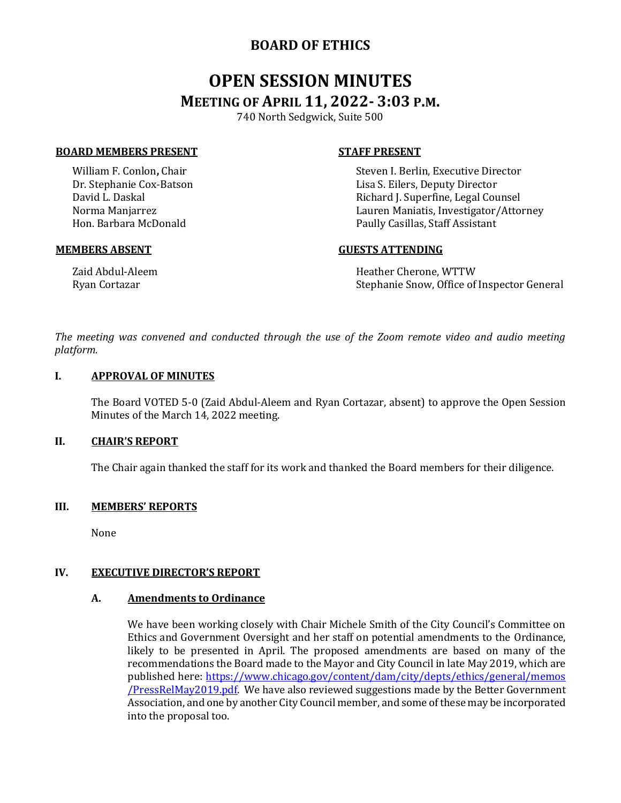# **BOARD OF ETHICS**

# **OPEN SESSION MINUTES MEETING OF APRIL 11, 2022- 3:03 P.M.**

740 North Sedgwick, Suite 500

#### **BOARD MEMBERS PRESENT STAFF PRESENT**

William F. Conlon**,** Chair Dr. Stephanie Cox-Batson David L. Daskal Norma Manjarrez Hon. Barbara McDonald

Steven I. Berlin, Executive Director Lisa S. Eilers, Deputy Director Richard J. Superfine, Legal Counsel Lauren Maniatis, Investigator/Attorney Paully Casillas, Staff Assistant

#### **MEMBERS ABSENT GUESTS ATTENDING**

Zaid Abdul-Aleem Ryan Cortazar

Heather Cherone, WTTW Stephanie Snow, Office of Inspector General

*The meeting was convened and conducted through the use of the Zoom remote video and audio meeting platform.*

#### **I. APPROVAL OF MINUTES**

The Board VOTED 5-0 (Zaid Abdul-Aleem and Ryan Cortazar, absent) to approve the Open Session Minutes of the March 14, 2022 meeting.

#### **II. CHAIR'S REPORT**

The Chair again thanked the staff for its work and thanked the Board members for their diligence.

# **III. MEMBERS' REPORTS**

None

# **IV. EXECUTIVE DIRECTOR'S REPORT**

#### **A. Amendments to Ordinance**

We have been working closely with Chair Michele Smith of the City Council's Committee on Ethics and Government Oversight and her staff on potential amendments to the Ordinance, likely to be presented in April. The proposed amendments are based on many of the recommendations the Board made to the Mayor and City Council in late May 2019, which are published here: [https://www.chicago.gov/content/dam/city/depts/ethics/general/memos](https://www.chicago.gov/content/dam/city/depts/ethics/general/memos%20/PressRelMay2019.pdf)  [/PressRelMay2019.pdf.](https://www.chicago.gov/content/dam/city/depts/ethics/general/memos%20/PressRelMay2019.pdf) We have also reviewed suggestions made by the Better Government Association, and one by another City Council member, and some of these may be incorporated into the proposal too.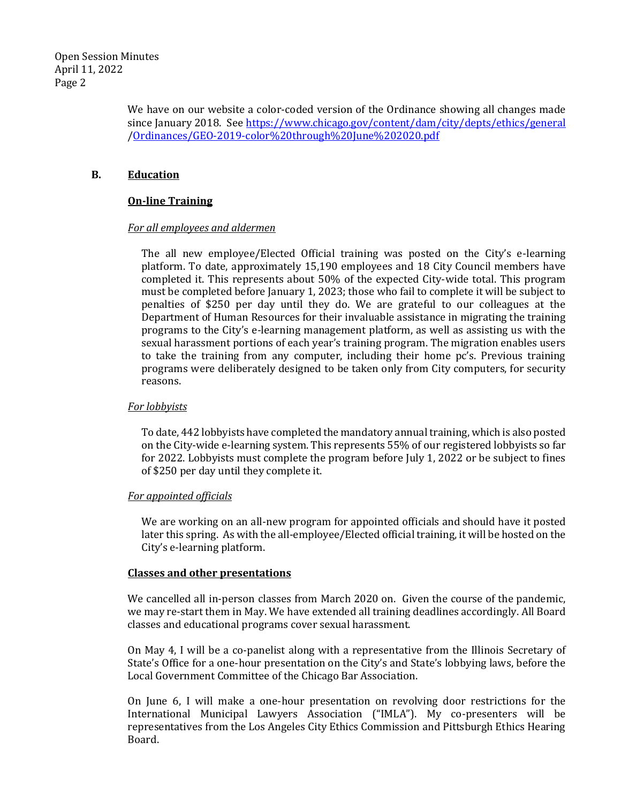We have on our website a color-coded version of the Ordinance showing all changes made since January 2018. See <https://www.chicago.gov/content/dam/city/depts/ethics/general> [/Ordinances/GEO-2019-color%20through%20June%202020.pdf](https://www.chicago.gov/content/dam/city/depts/ethics/general/Ordinances/GEO-2019-color%20through%20June%202020.pdf)

# **B. Education**

# **On-line Training**

# *For all employees and aldermen*

The all new employee/Elected Official training was posted on the City's e-learning platform. To date, approximately 15,190 employees and 18 City Council members have completed it. This represents about 50% of the expected City-wide total. This program must be completed before January 1, 2023; those who fail to complete it will be subject to penalties of \$250 per day until they do. We are grateful to our colleagues at the Department of Human Resources for their invaluable assistance in migrating the training programs to the City's e-learning management platform, as well as assisting us with the sexual harassment portions of each year's training program. The migration enables users to take the training from any computer, including their home pc's. Previous training programs were deliberately designed to be taken only from City computers, for security reasons.

# *For lobbyists*

To date, 442 lobbyists have completed the mandatory annual training, which is also posted on the City-wide e-learning system. This represents 55% of our registered lobbyists so far for 2022. Lobbyists must complete the program before July 1, 2022 or be subject to fines of \$250 per day until they complete it.

# *For appointed officials*

We are working on an all-new program for appointed officials and should have it posted later this spring. As with the all-employee/Elected official training, it will be hosted on the City's e-learning platform.

# **Classes and other presentations**

We cancelled all in-person classes from March 2020 on. Given the course of the pandemic, we may re-start them in May. We have extended all training deadlines accordingly. All Board classes and educational programs cover sexual harassment.

On May 4, I will be a co-panelist along with a representative from the Illinois Secretary of State's Office for a one-hour presentation on the City's and State's lobbying laws, before the Local Government Committee of the Chicago Bar Association.

On June 6, I will make a one-hour presentation on revolving door restrictions for the International Municipal Lawyers Association ("IMLA"). My co-presenters will be representatives from the Los Angeles City Ethics Commission and Pittsburgh Ethics Hearing Board.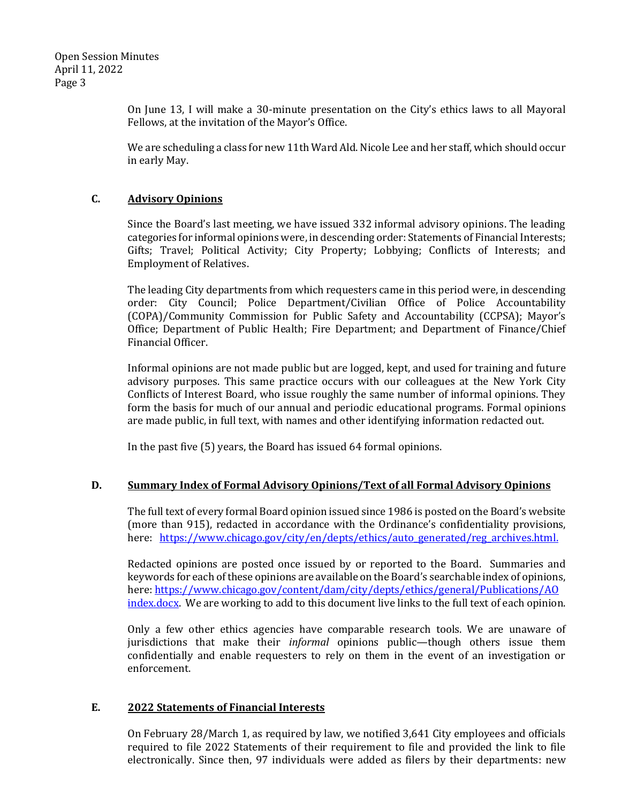On June 13, I will make a 30-minute presentation on the City's ethics laws to all Mayoral Fellows, at the invitation of the Mayor's Office.

We are scheduling a class for new 11th Ward Ald. Nicole Lee and her staff, which should occur in early May.

# **C. Advisory Opinions**

Since the Board's last meeting, we have issued 332 informal advisory opinions. The leading categories for informal opinions were, in descending order: Statements of Financial Interests; Gifts; Travel; Political Activity; City Property; Lobbying; Conflicts of Interests; and Employment of Relatives.

The leading City departments from which requesters came in this period were, in descending order: City Council; Police Department/Civilian Office of Police Accountability (COPA)/Community Commission for Public Safety and Accountability (CCPSA); Mayor's Office; Department of Public Health; Fire Department; and Department of Finance/Chief Financial Officer.

Informal opinions are not made public but are logged, kept, and used for training and future advisory purposes. This same practice occurs with our colleagues at the New York City Conflicts of Interest Board, who issue roughly the same number of informal opinions. They form the basis for much of our annual and periodic educational programs. Formal opinions are made public, in full text, with names and other identifying information redacted out.

In the past five (5) years, the Board has issued 64 formal opinions.

# **D. Summary Index of Formal Advisory Opinions/Text of all Formal Advisory Opinions**

The full text of every formal Board opinion issued since 1986 is posted on the Board's website (more than 915), redacted in accordance with the Ordinance's confidentiality provisions, here: [https://www.chicago.gov/city/en/depts/ethics/auto\\_generated/reg\\_archives.html.](https://www.chicago.gov/city/en/depts/ethics/auto_generated/reg_archives.html)

Redacted opinions are posted once issued by or reported to the Board. Summaries and keywords for each of these opinions are available on the Board's searchable index of opinions, here: <https://www.chicago.gov/content/dam/city/depts/ethics/general/Publications/AO> [index.docx.](https://www.chicago.gov/content/dam/city/depts/ethics/general/Publications/AO) We are working to add to this document live links to the full text of each opinion.

Only a few other ethics agencies have comparable research tools. We are unaware of jurisdictions that make their *informal* opinions public—though others issue them confidentially and enable requesters to rely on them in the event of an investigation or enforcement.

# **E. 2022 Statements of Financial Interests**

On February 28/March 1, as required by law, we notified 3,641 City employees and officials required to file 2022 Statements of their requirement to file and provided the link to file electronically. Since then, 97 individuals were added as filers by their departments: new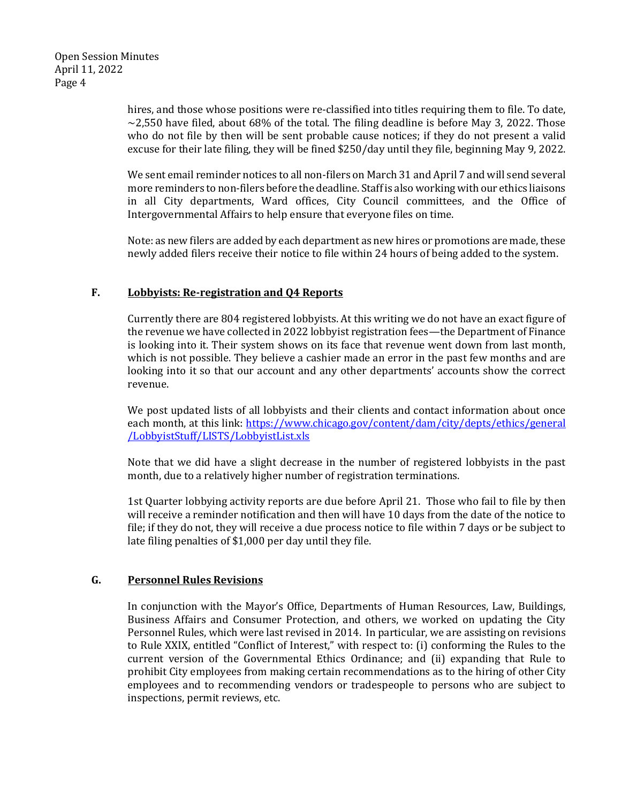hires, and those whose positions were re-classified into titles requiring them to file. To date,  $\sim$ 2,550 have filed, about 68% of the total. The filing deadline is before May 3, 2022. Those who do not file by then will be sent probable cause notices; if they do not present a valid excuse for their late filing, they will be fined \$250/day until they file, beginning May 9, 2022.

We sent email reminder notices to all non-filers on March 31 and April 7 and will send several more reminders to non-filers before the deadline. Staff is also working with our ethics liaisons in all City departments, Ward offices, City Council committees, and the Office of Intergovernmental Affairs to help ensure that everyone files on time.

Note: as new filers are added by each department as new hires or promotions are made, these newly added filers receive their notice to file within 24 hours of being added to the system.

# **F. Lobbyists: Re-registration and Q4 Reports**

Currently there are 804 registered lobbyists. At this writing we do not have an exact figure of the revenue we have collected in 2022 lobbyist registration fees—the Department of Finance is looking into it. Their system shows on its face that revenue went down from last month, which is not possible. They believe a cashier made an error in the past few months and are looking into it so that our account and any other departments' accounts show the correct revenue.

We post updated lists of all lobbyists and their clients and contact information about once each month, at this link: [https://www.chicago.gov/content/dam/city/depts/ethics/general](https://www.chicago.gov/content/dam/city/depts/ethics/general%20/LobbyistStuff/LISTS/LobbyistList.xls)  [/LobbyistStuff/LISTS/LobbyistList.xls](https://www.chicago.gov/content/dam/city/depts/ethics/general%20/LobbyistStuff/LISTS/LobbyistList.xls)

Note that we did have a slight decrease in the number of registered lobbyists in the past month, due to a relatively higher number of registration terminations.

1st Quarter lobbying activity reports are due before April 21. Those who fail to file by then will receive a reminder notification and then will have 10 days from the date of the notice to file; if they do not, they will receive a due process notice to file within 7 days or be subject to late filing penalties of \$1,000 per day until they file.

# **G. Personnel Rules Revisions**

In conjunction with the Mayor's Office, Departments of Human Resources, Law, Buildings, Business Affairs and Consumer Protection, and others, we worked on updating the City Personnel Rules, which were last revised in 2014. In particular, we are assisting on revisions to Rule XXIX, entitled "Conflict of Interest," with respect to: (i) conforming the Rules to the current version of the Governmental Ethics Ordinance; and (ii) expanding that Rule to prohibit City employees from making certain recommendations as to the hiring of other City employees and to recommending vendors or tradespeople to persons who are subject to inspections, permit reviews, etc.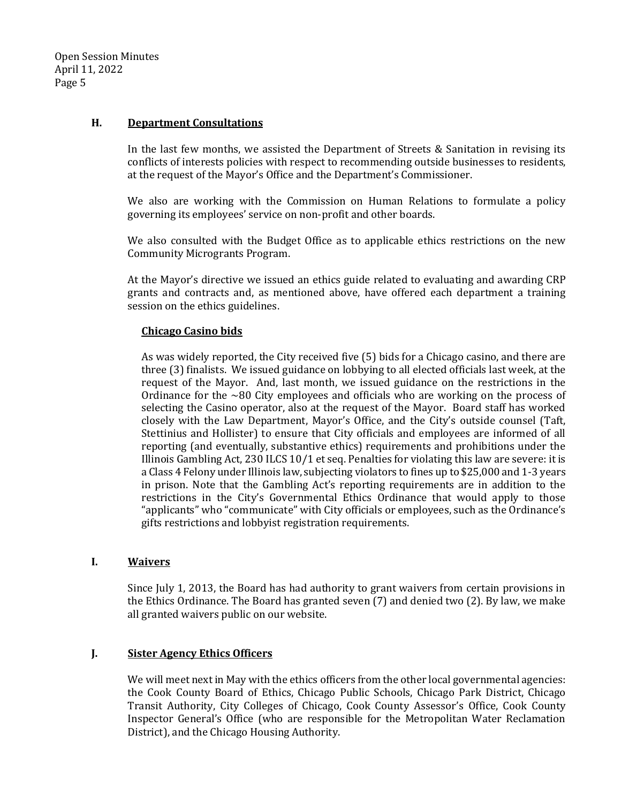# **H. Department Consultations**

In the last few months, we assisted the Department of Streets & Sanitation in revising its conflicts of interests policies with respect to recommending outside businesses to residents, at the request of the Mayor's Office and the Department's Commissioner.

We also are working with the Commission on Human Relations to formulate a policy governing its employees' service on non-profit and other boards.

We also consulted with the Budget Office as to applicable ethics restrictions on the new Community Microgrants Program.

At the Mayor's directive we issued an ethics guide related to evaluating and awarding CRP grants and contracts and, as mentioned above, have offered each department a training session on the ethics guidelines.

# **Chicago Casino bids**

As was widely reported, the City received five (5) bids for a Chicago casino, and there are three (3) finalists. We issued guidance on lobbying to all elected officials last week, at the request of the Mayor. And, last month, we issued guidance on the restrictions in the Ordinance for the  $\sim$ 80 City employees and officials who are working on the process of selecting the Casino operator, also at the request of the Mayor. Board staff has worked closely with the Law Department, Mayor's Office, and the City's outside counsel (Taft, Stettinius and Hollister) to ensure that City officials and employees are informed of all reporting (and eventually, substantive ethics) requirements and prohibitions under the Illinois Gambling Act, 230 ILCS 10/1 et seq. Penalties for violating this law are severe: it is a Class 4 Felony under Illinois law, subjecting violators to fines up to \$25,000 and 1-3 years in prison. Note that the Gambling Act's reporting requirements are in addition to the restrictions in the City's Governmental Ethics Ordinance that would apply to those "applicants" who "communicate" with City officials or employees, such as the Ordinance's gifts restrictions and lobbyist registration requirements.

# **I. Waivers**

Since July 1, 2013, the Board has had authority to grant waivers from certain provisions in the Ethics Ordinance. The Board has granted seven (7) and denied two (2). By law, we make all granted waivers public on our website.

# **J. Sister Agency Ethics Officers**

We will meet next in May with the ethics officers from the other local governmental agencies: the Cook County Board of Ethics, Chicago Public Schools, Chicago Park District, Chicago Transit Authority, City Colleges of Chicago, Cook County Assessor's Office, Cook County Inspector General's Office (who are responsible for the Metropolitan Water Reclamation District), and the Chicago Housing Authority.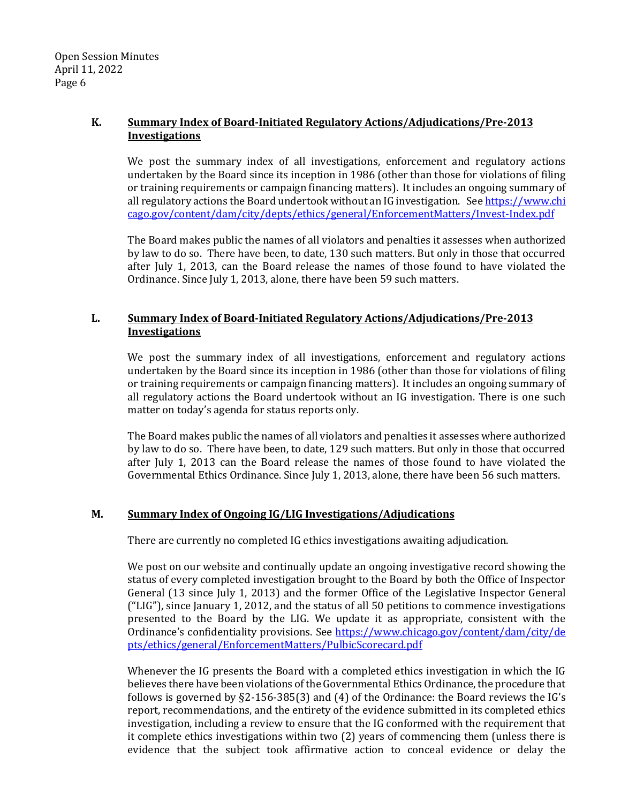# **K. Summary Index of Board-Initiated Regulatory Actions/Adjudications/Pre-2013 Investigations**

We post the summary index of all investigations, enforcement and regulatory actions undertaken by the Board since its inception in 1986 (other than those for violations of filing or training requirements or campaign financing matters). It includes an ongoing summary of all regulatory actions the Board undertook without an IG investigation. Se[e https://www.chi](https://www.chi/) [cago.gov/content/dam/city/depts/ethics/general/EnforcementMatters/Invest-Index.pdf](https://www.chicago.gov/content/dam/city/depts/ethics/general/EnforcementMatters/Invest-Index.pdf)

The Board makes public the names of all violators and penalties it assesses when authorized by law to do so. There have been, to date, 130 such matters. But only in those that occurred after July 1, 2013, can the Board release the names of those found to have violated the Ordinance. Since July 1, 2013, alone, there have been 59 such matters.

# **L. Summary Index of Board-Initiated Regulatory Actions/Adjudications/Pre-2013 Investigations**

We post the summary index of all investigations, enforcement and regulatory actions undertaken by the Board since its inception in 1986 (other than those for violations of filing or training requirements or campaign financing matters). It includes an ongoing summary of all regulatory actions the Board undertook without an IG investigation. There is one such matter on today's agenda for status reports only.

The Board makes public the names of all violators and penalties it assesses where authorized by law to do so. There have been, to date, 129 such matters. But only in those that occurred after July 1, 2013 can the Board release the names of those found to have violated the Governmental Ethics Ordinance. Since July 1, 2013, alone, there have been 56 such matters.

# **M. Summary Index of Ongoing IG/LIG Investigations/Adjudications**

There are currently no completed IG ethics investigations awaiting adjudication.

We post on our website and continually update an ongoing investigative record showing the status of every completed investigation brought to the Board by both the Office of Inspector General (13 since July 1, 2013) and the former Office of the Legislative Inspector General ("LIG"), since January 1, 2012, and the status of all 50 petitions to commence investigations presented to the Board by the LIG. We update it as appropriate, consistent with the Ordinance's confidentiality provisions. See [https://www.chicago.gov/content/dam/city/de](https://www.chicago.gov/content/dam/city/de%20%20pts/ethics/general/EnforcementMatters/PulbicScorecard.pdf)  [pts/ethics/general/EnforcementMatters/PulbicScorecard.pdf](https://www.chicago.gov/content/dam/city/de%20%20pts/ethics/general/EnforcementMatters/PulbicScorecard.pdf)

Whenever the IG presents the Board with a completed ethics investigation in which the IG believes there have been violations of the Governmental Ethics Ordinance, the procedure that follows is governed by §2-156-385(3) and (4) of the Ordinance: the Board reviews the IG's report, recommendations, and the entirety of the evidence submitted in its completed ethics investigation, including a review to ensure that the IG conformed with the requirement that it complete ethics investigations within two (2) years of commencing them (unless there is evidence that the subject took affirmative action to conceal evidence or delay the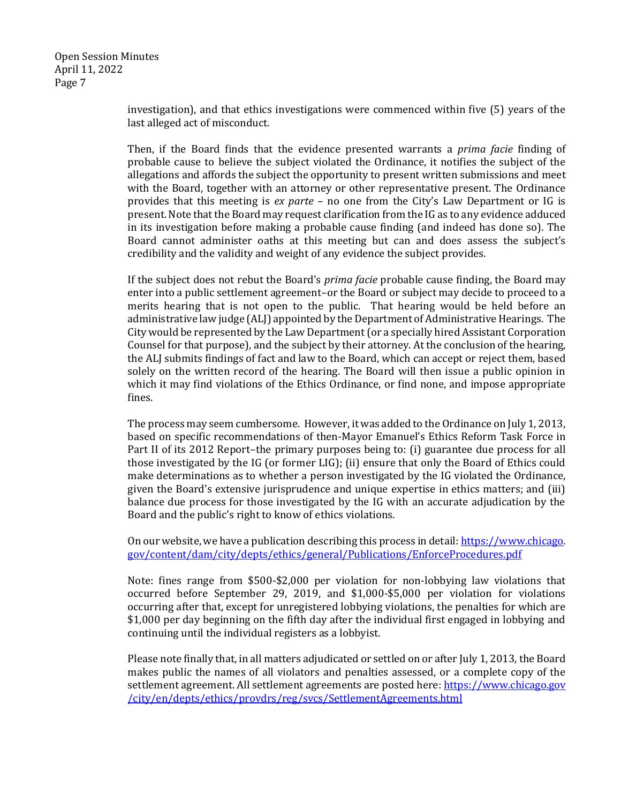> investigation), and that ethics investigations were commenced within five (5) years of the last alleged act of misconduct.

> Then, if the Board finds that the evidence presented warrants a *prima facie* finding of probable cause to believe the subject violated the Ordinance, it notifies the subject of the allegations and affords the subject the opportunity to present written submissions and meet with the Board, together with an attorney or other representative present. The Ordinance provides that this meeting is *ex parte* – no one from the City's Law Department or IG is present. Note that the Board may request clarification from the IG as to any evidence adduced in its investigation before making a probable cause finding (and indeed has done so). The Board cannot administer oaths at this meeting but can and does assess the subject's credibility and the validity and weight of any evidence the subject provides.

> If the subject does not rebut the Board's *prima facie* probable cause finding, the Board may enter into a public settlement agreement–or the Board or subject may decide to proceed to a merits hearing that is not open to the public. That hearing would be held before an administrative law judge (ALJ) appointed by the Department of Administrative Hearings. The City would be represented by the Law Department (or a specially hired Assistant Corporation Counsel for that purpose), and the subject by their attorney. At the conclusion of the hearing, the ALJ submits findings of fact and law to the Board, which can accept or reject them, based solely on the written record of the hearing. The Board will then issue a public opinion in which it may find violations of the Ethics Ordinance, or find none, and impose appropriate fines.

> The process may seem cumbersome. However, it was added to the Ordinance on July 1, 2013, based on specific recommendations of then-Mayor Emanuel's Ethics Reform Task Force in Part II of its 2012 Report–the primary purposes being to: (i) guarantee due process for all those investigated by the IG (or former LIG); (ii) ensure that only the Board of Ethics could make determinations as to whether a person investigated by the IG violated the Ordinance, given the Board's extensive jurisprudence and unique expertise in ethics matters; and (iii) balance due process for those investigated by the IG with an accurate adjudication by the Board and the public's right to know of ethics violations.

> On our website, we have a publication describing this process in detail: [https://www.chicago.](https://www.chicago/) [gov/content/dam/city/depts/ethics/general/Publications/EnforceProcedures.pdf](https://www.chicago.gov/content/dam/city/depts/ethics/general/Publications/EnforceProcedures.pdf)

> Note: fines range from \$500-\$2,000 per violation for non-lobbying law violations that occurred before September 29, 2019, and \$1,000-\$5,000 per violation for violations occurring after that, except for unregistered lobbying violations, the penalties for which are \$1,000 per day beginning on the fifth day after the individual first engaged in lobbying and continuing until the individual registers as a lobbyist.

> Please note finally that, in all matters adjudicated or settled on or after July 1, 2013, the Board makes public the names of all violators and penalties assessed, or a complete copy of the settlement agreement. All settlement agreements are posted here: [https://www.chicago.gov](https://www.chicago.gov/) [/city/en/depts/ethics/provdrs/reg/svcs/SettlementAgreements.html](https://www.chicago.gov/city/en/depts/ethics/provdrs/reg/svcs/SettlementAgreements.html)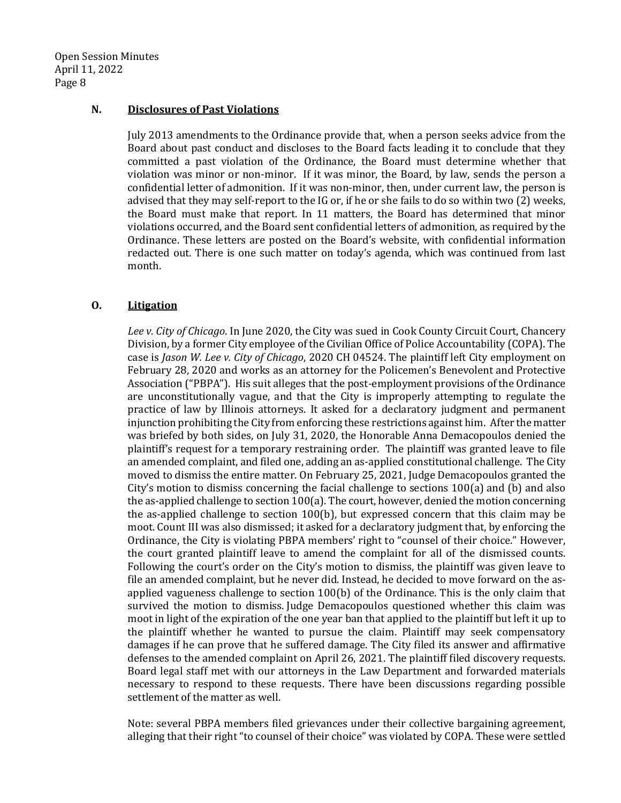#### **N. Disclosures of Past Violations**

July 2013 amendments to the Ordinance provide that, when a person seeks advice from the Board about past conduct and discloses to the Board facts leading it to conclude that they committed a past violation of the Ordinance, the Board must determine whether that violation was minor or non-minor. If it was minor, the Board, by law, sends the person a confidential letter of admonition. If it was non-minor, then, under current law, the person is advised that they may self-report to the IG or, if he or she fails to do so within two (2) weeks, the Board must make that report. In 11 matters, the Board has determined that minor violations occurred, and the Board sent confidential letters of admonition, as required by the Ordinance. These letters are posted on the Board's website, with confidential information redacted out. There is one such matter on today's agenda, which was continued from last month.

# **O. Litigation**

*Lee v. City of Chicago*. In June 2020, the City was sued in Cook County Circuit Court, Chancery Division, by a former City employee of the Civilian Office of Police Accountability (COPA). The case is *Jason W. Lee v. City of Chicago*, 2020 CH 04524. The plaintiff left City employment on February 28, 2020 and works as an attorney for the Policemen's Benevolent and Protective Association ("PBPA"). His suit alleges that the post-employment provisions of the Ordinance are unconstitutionally vague, and that the City is improperly attempting to regulate the practice of law by Illinois attorneys. It asked for a declaratory judgment and permanent injunction prohibiting the City from enforcing these restrictions against him. After the matter was briefed by both sides, on July 31, 2020, the Honorable Anna Demacopoulos denied the plaintiff's request for a temporary restraining order. The plaintiff was granted leave to file an amended complaint, and filed one, adding an as-applied constitutional challenge. The City moved to dismiss the entire matter. On February 25, 2021, Judge Demacopoulos granted the City's motion to dismiss concerning the facial challenge to sections 100(a) and (b) and also the as-applied challenge to section 100(a). The court, however, denied the motion concerning the as-applied challenge to section 100(b), but expressed concern that this claim may be moot. Count III was also dismissed; it asked for a declaratory judgment that, by enforcing the Ordinance, the City is violating PBPA members' right to "counsel of their choice." However, the court granted plaintiff leave to amend the complaint for all of the dismissed counts. Following the court's order on the City's motion to dismiss, the plaintiff was given leave to file an amended complaint, but he never did. Instead, he decided to move forward on the asapplied vagueness challenge to section 100(b) of the Ordinance. This is the only claim that survived the motion to dismiss. Judge Demacopoulos questioned whether this claim was moot in light of the expiration of the one year ban that applied to the plaintiff but left it up to the plaintiff whether he wanted to pursue the claim. Plaintiff may seek compensatory damages if he can prove that he suffered damage. The City filed its answer and affirmative defenses to the amended complaint on April 26, 2021. The plaintiff filed discovery requests. Board legal staff met with our attorneys in the Law Department and forwarded materials necessary to respond to these requests. There have been discussions regarding possible settlement of the matter as well.

Note: several PBPA members filed grievances under their collective bargaining agreement, alleging that their right "to counsel of their choice" was violated by COPA. These were settled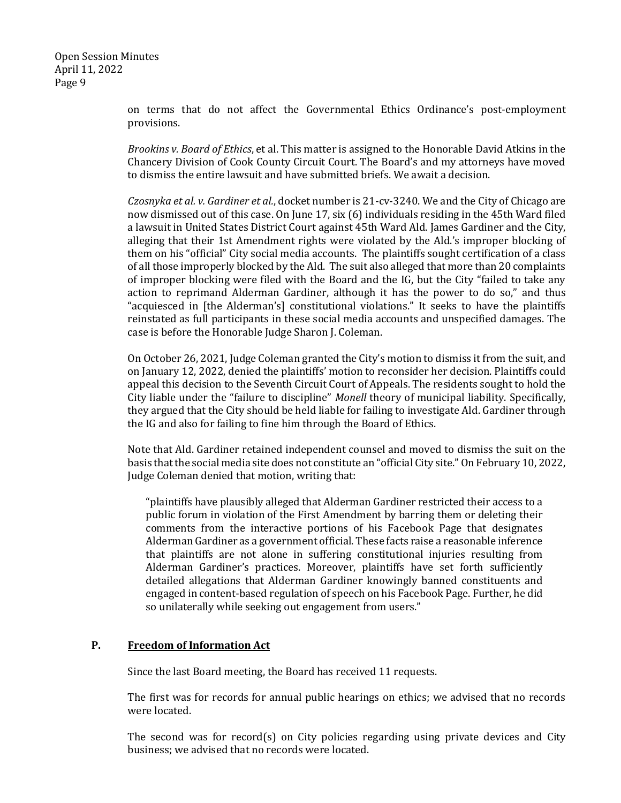> on terms that do not affect the Governmental Ethics Ordinance's post-employment provisions.

> *Brookins v. Board of Ethics*, et al. This matter is assigned to the Honorable David Atkins in the Chancery Division of Cook County Circuit Court. The Board's and my attorneys have moved to dismiss the entire lawsuit and have submitted briefs. We await a decision.

> *Czosnyka et al. v. Gardiner et al.*, docket number is 21-cv-3240. We and the City of Chicago are now dismissed out of this case. On June 17, six (6) individuals residing in the 45th Ward filed a lawsuit in United States District Court against 45th Ward Ald. James Gardiner and the City, alleging that their 1st Amendment rights were violated by the Ald.'s improper blocking of them on his "official" City social media accounts. The plaintiffs sought certification of a class of all those improperly blocked by the Ald. The suit also alleged that more than 20 complaints of improper blocking were filed with the Board and the IG, but the City "failed to take any action to reprimand Alderman Gardiner, although it has the power to do so," and thus "acquiesced in [the Alderman's] constitutional violations." It seeks to have the plaintiffs reinstated as full participants in these social media accounts and unspecified damages. The case is before the Honorable Judge Sharon J. Coleman.

> On October 26, 2021, Judge Coleman granted the City's motion to dismiss it from the suit, and on January 12, 2022, denied the plaintiffs' motion to reconsider her decision. Plaintiffs could appeal this decision to the Seventh Circuit Court of Appeals. The residents sought to hold the City liable under the "failure to discipline" *Monell* theory of municipal liability. Specifically, they argued that the City should be held liable for failing to investigate Ald. Gardiner through the IG and also for failing to fine him through the Board of Ethics.

> Note that Ald. Gardiner retained independent counsel and moved to dismiss the suit on the basis that the social media site does not constitute an "official City site." On February 10, 2022, Judge Coleman denied that motion, writing that:

"plaintiffs have plausibly alleged that Alderman Gardiner restricted their access to a public forum in violation of the First Amendment by barring them or deleting their comments from the interactive portions of his Facebook Page that designates Alderman Gardiner as a government official. These facts raise a reasonable inference that plaintiffs are not alone in suffering constitutional injuries resulting from Alderman Gardiner's practices. Moreover, plaintiffs have set forth sufficiently detailed allegations that Alderman Gardiner knowingly banned constituents and engaged in content-based regulation of speech on his Facebook Page. Further, he did so unilaterally while seeking out engagement from users."

# **P. Freedom of Information Act**

Since the last Board meeting, the Board has received 11 requests.

The first was for records for annual public hearings on ethics; we advised that no records were located.

The second was for record(s) on City policies regarding using private devices and City business; we advised that no records were located.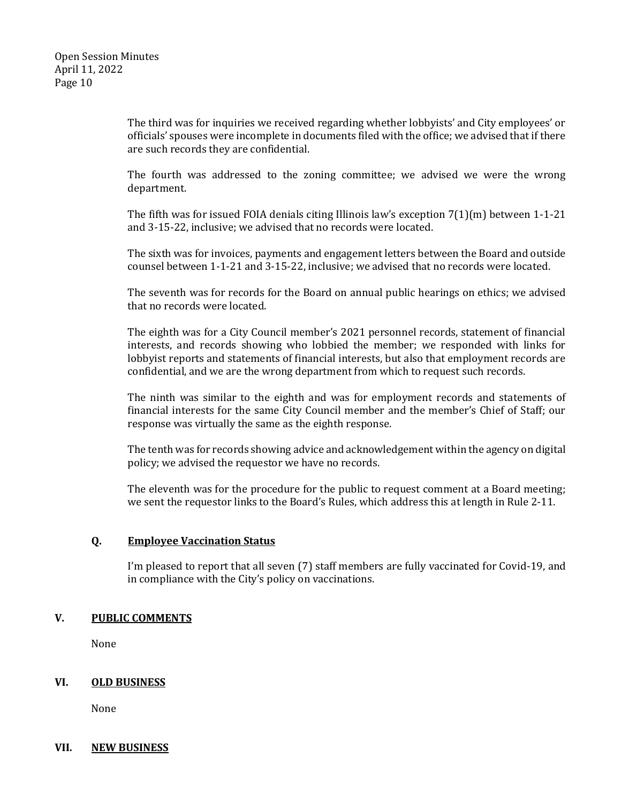The third was for inquiries we received regarding whether lobbyists' and City employees' or officials' spouses were incomplete in documents filed with the office; we advised that if there are such records they are confidential.

The fourth was addressed to the zoning committee; we advised we were the wrong department.

The fifth was for issued FOIA denials citing Illinois law's exception 7(1)(m) between 1-1-21 and 3-15-22, inclusive; we advised that no records were located.

The sixth was for invoices, payments and engagement letters between the Board and outside counsel between 1-1-21 and 3-15-22, inclusive; we advised that no records were located.

The seventh was for records for the Board on annual public hearings on ethics; we advised that no records were located.

The eighth was for a City Council member's 2021 personnel records, statement of financial interests, and records showing who lobbied the member; we responded with links for lobbyist reports and statements of financial interests, but also that employment records are confidential, and we are the wrong department from which to request such records.

The ninth was similar to the eighth and was for employment records and statements of financial interests for the same City Council member and the member's Chief of Staff; our response was virtually the same as the eighth response.

The tenth was for records showing advice and acknowledgement within the agency on digital policy; we advised the requestor we have no records.

The eleventh was for the procedure for the public to request comment at a Board meeting; we sent the requestor links to the Board's Rules, which address this at length in Rule 2-11.

# **Q. Employee Vaccination Status**

I'm pleased to report that all seven (7) staff members are fully vaccinated for Covid-19, and in compliance with the City's policy on vaccinations.

# **V. PUBLIC COMMENTS**

None

# **VI. OLD BUSINESS**

None

# **VII. NEW BUSINESS**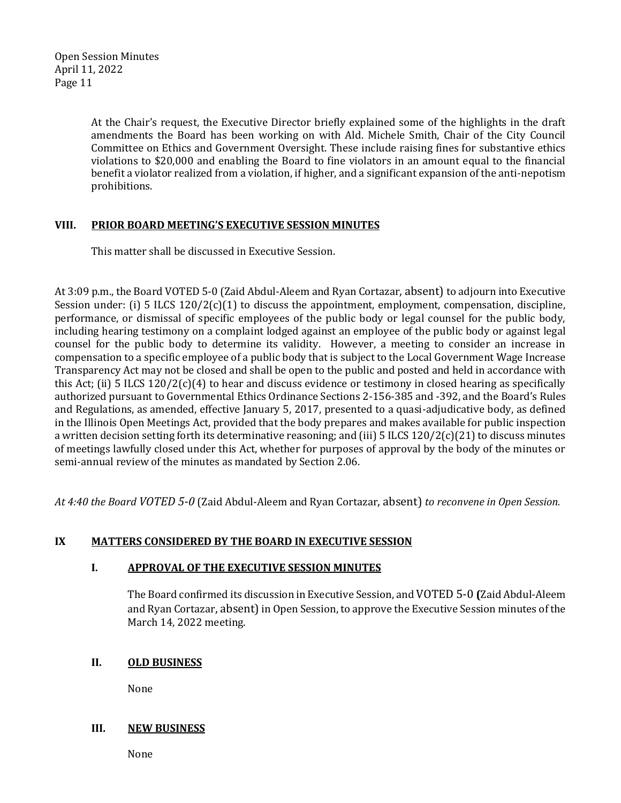> At the Chair's request, the Executive Director briefly explained some of the highlights in the draft amendments the Board has been working on with Ald. Michele Smith, Chair of the City Council Committee on Ethics and Government Oversight. These include raising fines for substantive ethics violations to \$20,000 and enabling the Board to fine violators in an amount equal to the financial benefit a violator realized from a violation, if higher, and a significant expansion of the anti-nepotism prohibitions.

# **VIII. PRIOR BOARD MEETING'S EXECUTIVE SESSION MINUTES**

This matter shall be discussed in Executive Session.

At 3:09 p.m., the Board VOTED 5-0 (Zaid Abdul-Aleem and Ryan Cortazar, absent) to adjourn into Executive Session under: (i) 5 ILCS  $120/2(c)(1)$  to discuss the appointment, employment, compensation, discipline, performance, or dismissal of specific employees of the public body or legal counsel for the public body, including hearing testimony on a complaint lodged against an employee of the public body or against legal counsel for the public body to determine its validity. However, a meeting to consider an increase in compensation to a specific employee of a public body that is subject to the Local Government Wage Increase Transparency Act may not be closed and shall be open to the public and posted and held in accordance with this Act; (ii) 5 ILCS  $120/2(c)(4)$  to hear and discuss evidence or testimony in closed hearing as specifically authorized pursuant to Governmental Ethics Ordinance Sections 2-156-385 and -392, and the Board's Rules and Regulations, as amended, effective January 5, 2017, presented to a quasi-adjudicative body, as defined in the Illinois Open Meetings Act, provided that the body prepares and makes available for public inspection a written decision setting forth its determinative reasoning; and (iii) 5 ILCS 120/2(c)(21) to discuss minutes of meetings lawfully closed under this Act, whether for purposes of approval by the body of the minutes or semi-annual review of the minutes as mandated by Section 2.06.

*At 4:40 the Board VOTED 5-0* (Zaid Abdul-Aleem and Ryan Cortazar, absent) *to reconvene in Open Session.* 

# **IX MATTERS CONSIDERED BY THE BOARD IN EXECUTIVE SESSION**

# **I. APPROVAL OF THE EXECUTIVE SESSION MINUTES**

The Board confirmed its discussion in Executive Session, and VOTED 5-0 **(**Zaid Abdul-Aleem and Ryan Cortazar, absent) in Open Session, to approve the Executive Session minutes of the March 14, 2022 meeting.

# **II. OLD BUSINESS**

None

# **III. NEW BUSINESS**

None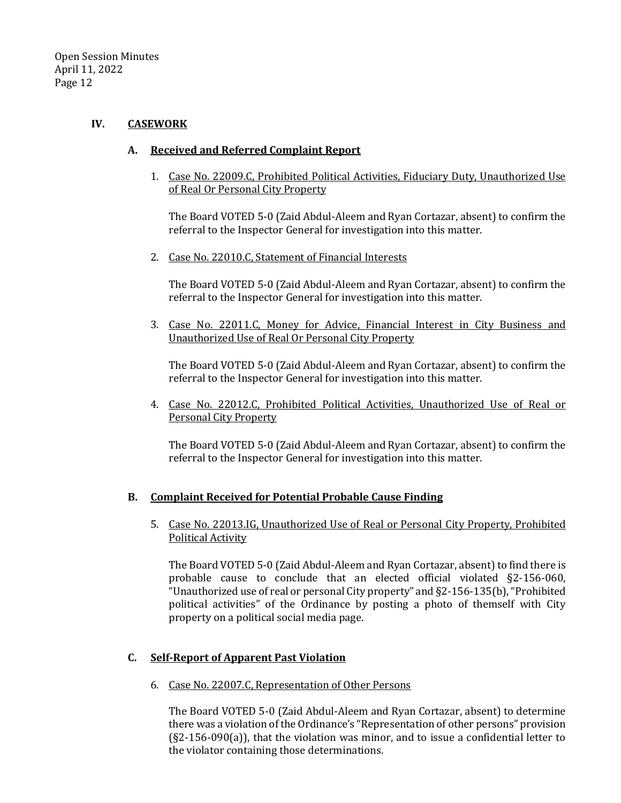# **IV. CASEWORK**

# **A. Received and Referred Complaint Report**

1. Case No. 22009.C, Prohibited Political Activities, Fiduciary Duty, Unauthorized Use of Real Or Personal City Property

The Board VOTED 5-0 (Zaid Abdul-Aleem and Ryan Cortazar, absent) to confirm the referral to the Inspector General for investigation into this matter.

2. Case No. 22010.C, Statement of Financial Interests

The Board VOTED 5-0 (Zaid Abdul-Aleem and Ryan Cortazar, absent) to confirm the referral to the Inspector General for investigation into this matter.

3. Case No. 22011.C, Money for Advice, Financial Interest in City Business and Unauthorized Use of Real Or Personal City Property

The Board VOTED 5-0 (Zaid Abdul-Aleem and Ryan Cortazar, absent) to confirm the referral to the Inspector General for investigation into this matter.

4. Case No. 22012.C, Prohibited Political Activities, Unauthorized Use of Real or Personal City Property

The Board VOTED 5-0 (Zaid Abdul-Aleem and Ryan Cortazar, absent) to confirm the referral to the Inspector General for investigation into this matter.

# **B. Complaint Received for Potential Probable Cause Finding**

5. Case No. 22013.IG, Unauthorized Use of Real or Personal City Property, Prohibited Political Activity

The Board VOTED 5-0 (Zaid Abdul-Aleem and Ryan Cortazar, absent) to find there is probable cause to conclude that an elected official violated §2-156-060, "Unauthorized use of real or personal City property" and §2-156-135(b), "Prohibited political activities" of the Ordinance by posting a photo of themself with City property on a political social media page.

# **C. Self-Report of Apparent Past Violation**

6. Case No. 22007.C, Representation of Other Persons

The Board VOTED 5-0 (Zaid Abdul-Aleem and Ryan Cortazar, absent) to determine there was a violation of the Ordinance's "Representation of other persons" provision (§2-156-090(a)), that the violation was minor, and to issue a confidential letter to the violator containing those determinations.